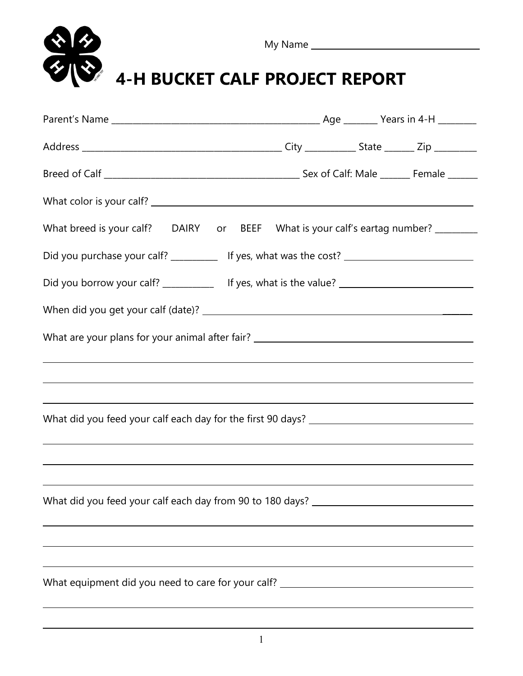| <b>4-H BUCKET CALF PROJECT REPORT</b> |                                                                                                                                                                                                                                                 |  |  |  |  |  |  |  |
|---------------------------------------|-------------------------------------------------------------------------------------------------------------------------------------------------------------------------------------------------------------------------------------------------|--|--|--|--|--|--|--|
|                                       |                                                                                                                                                                                                                                                 |  |  |  |  |  |  |  |
|                                       |                                                                                                                                                                                                                                                 |  |  |  |  |  |  |  |
|                                       |                                                                                                                                                                                                                                                 |  |  |  |  |  |  |  |
|                                       |                                                                                                                                                                                                                                                 |  |  |  |  |  |  |  |
|                                       | What breed is your calf? DAIRY or BEEF What is your calf's eartag number? _______                                                                                                                                                               |  |  |  |  |  |  |  |
|                                       |                                                                                                                                                                                                                                                 |  |  |  |  |  |  |  |
|                                       | Did you borrow your calf? _____________ If yes, what is the value? _________________________________                                                                                                                                            |  |  |  |  |  |  |  |
|                                       |                                                                                                                                                                                                                                                 |  |  |  |  |  |  |  |
|                                       | What are your plans for your animal after fair? ________________________________                                                                                                                                                                |  |  |  |  |  |  |  |
|                                       | and the control of the control of the control of the control of the control of the control of the control of the                                                                                                                                |  |  |  |  |  |  |  |
|                                       | ,我们也不会有什么。""我们的人,我们也不会有什么?""我们的人,我们也不会有什么?""我们的人,我们也不会有什么?""我们的人,我们也不会有什么?""我们的人                                                                                                                                                                |  |  |  |  |  |  |  |
|                                       |                                                                                                                                                                                                                                                 |  |  |  |  |  |  |  |
|                                       | <u> 1989 - Johann Stoff, deutscher Stoffen und der Stoffen und der Stoffen und der Stoffen und der Stoffen und de</u>                                                                                                                           |  |  |  |  |  |  |  |
|                                       | <u> 1989 - Andrea Santana, amerikana amerikana amerikana amerikana amerikana amerikana amerikana amerikana amerika</u><br><u> 1989 - Johann Stoff, deutscher Stoffen und der Stoffen und der Stoffen und der Stoffen und der Stoffen und de</u> |  |  |  |  |  |  |  |
|                                       | What did you feed your calf each day from 90 to 180 days? _______________________                                                                                                                                                               |  |  |  |  |  |  |  |
|                                       | ,我们也不会有什么。""我们的人,我们也不会有什么?""我们的人,我们也不会有什么?""我们的人,我们也不会有什么?""我们的人,我们也不会有什么?""我们的人                                                                                                                                                                |  |  |  |  |  |  |  |
|                                       | ,我们也不会有什么。""我们的人,我们也不会有什么?""我们的人,我们也不会有什么?""我们的人,我们也不会有什么?""我们的人,我们也不会有什么?""我们的人<br><u> 1989 - Johann Barn, mars and de Brasilian (b. 1989)</u>                                                                                                 |  |  |  |  |  |  |  |
|                                       | What equipment did you need to care for your calf? _____________________________                                                                                                                                                                |  |  |  |  |  |  |  |
|                                       |                                                                                                                                                                                                                                                 |  |  |  |  |  |  |  |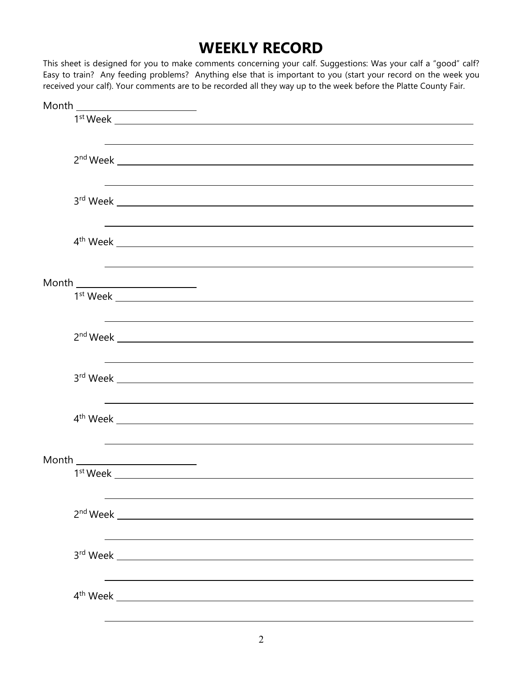## **WEEKLY RECORD**

This sheet is designed for you to make comments concerning your calf. Suggestions: Was your calf a "good" calf? Easy to train? Any feeding problems? Anything else that is important to you (start your record on the week you received your calf). Your comments are to be recorded all they way up to the week before the Platte County Fair.

| $\begin{picture}(20,10) \put(0,0){\vector(1,0){100}} \put(15,0){\vector(1,0){100}} \put(15,0){\vector(1,0){100}} \put(15,0){\vector(1,0){100}} \put(15,0){\vector(1,0){100}} \put(15,0){\vector(1,0){100}} \put(15,0){\vector(1,0){100}} \put(15,0){\vector(1,0){100}} \put(15,0){\vector(1,0){100}} \put(15,0){\vector(1,0){100}} \put(15,0){\vector(1,0){100}} \$ |  |
|---------------------------------------------------------------------------------------------------------------------------------------------------------------------------------------------------------------------------------------------------------------------------------------------------------------------------------------------------------------------|--|
| $1st$ Week $\_\_$                                                                                                                                                                                                                                                                                                                                                   |  |
|                                                                                                                                                                                                                                                                                                                                                                     |  |
|                                                                                                                                                                                                                                                                                                                                                                     |  |
|                                                                                                                                                                                                                                                                                                                                                                     |  |
|                                                                                                                                                                                                                                                                                                                                                                     |  |
|                                                                                                                                                                                                                                                                                                                                                                     |  |
|                                                                                                                                                                                                                                                                                                                                                                     |  |
|                                                                                                                                                                                                                                                                                                                                                                     |  |
| <u> 1989 - Andrea Santa Andrea Santa Andrea Santa Andrea Santa Andrea Santa Andrea Santa Andrea Santa Andrea San</u>                                                                                                                                                                                                                                                |  |
|                                                                                                                                                                                                                                                                                                                                                                     |  |
| $4th$ Week $\overline{\phantom{1.5}}$                                                                                                                                                                                                                                                                                                                               |  |
|                                                                                                                                                                                                                                                                                                                                                                     |  |
|                                                                                                                                                                                                                                                                                                                                                                     |  |
| $\begin{picture}(20,10) \put(0,0){\vector(1,0){100}} \put(15,0){\vector(1,0){100}} \put(15,0){\vector(1,0){100}} \put(15,0){\vector(1,0){100}} \put(15,0){\vector(1,0){100}} \put(15,0){\vector(1,0){100}} \put(15,0){\vector(1,0){100}} \put(15,0){\vector(1,0){100}} \put(15,0){\vector(1,0){100}} \put(15,0){\vector(1,0){100}} \put(15,0){\vector(1,0){100}} \$ |  |
|                                                                                                                                                                                                                                                                                                                                                                     |  |
|                                                                                                                                                                                                                                                                                                                                                                     |  |
|                                                                                                                                                                                                                                                                                                                                                                     |  |
|                                                                                                                                                                                                                                                                                                                                                                     |  |
|                                                                                                                                                                                                                                                                                                                                                                     |  |
|                                                                                                                                                                                                                                                                                                                                                                     |  |
| $3rd$ Week $\_\_\_\_\_\_\_\_\_$                                                                                                                                                                                                                                                                                                                                     |  |
|                                                                                                                                                                                                                                                                                                                                                                     |  |
|                                                                                                                                                                                                                                                                                                                                                                     |  |
| $4th$ Week $\overline{\phantom{1.5}}$                                                                                                                                                                                                                                                                                                                               |  |
|                                                                                                                                                                                                                                                                                                                                                                     |  |
|                                                                                                                                                                                                                                                                                                                                                                     |  |
| $\begin{picture}(20,10) \put(0,0){\vector(1,0){100}} \put(15,0){\vector(1,0){100}} \put(15,0){\vector(1,0){100}} \put(15,0){\vector(1,0){100}} \put(15,0){\vector(1,0){100}} \put(15,0){\vector(1,0){100}} \put(15,0){\vector(1,0){100}} \put(15,0){\vector(1,0){100}} \put(15,0){\vector(1,0){100}} \put(15,0){\vector(1,0){100}} \put(15,0){\vector(1,0){100}} \$ |  |
| $1^{\text{st}}$ Week $\_\_$                                                                                                                                                                                                                                                                                                                                         |  |
|                                                                                                                                                                                                                                                                                                                                                                     |  |
|                                                                                                                                                                                                                                                                                                                                                                     |  |
|                                                                                                                                                                                                                                                                                                                                                                     |  |
|                                                                                                                                                                                                                                                                                                                                                                     |  |
|                                                                                                                                                                                                                                                                                                                                                                     |  |
|                                                                                                                                                                                                                                                                                                                                                                     |  |
|                                                                                                                                                                                                                                                                                                                                                                     |  |
|                                                                                                                                                                                                                                                                                                                                                                     |  |
|                                                                                                                                                                                                                                                                                                                                                                     |  |
| $4^{\text{th}}$ Week $\_\_$                                                                                                                                                                                                                                                                                                                                         |  |
|                                                                                                                                                                                                                                                                                                                                                                     |  |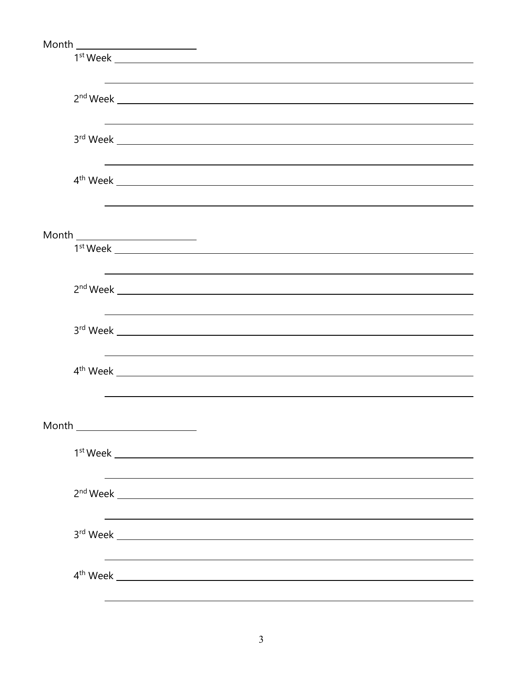| $\begin{picture}(20,10) \put(0,0){\vector(1,0){100}} \put(15,0){\vector(1,0){100}} \put(15,0){\vector(1,0){100}} \put(15,0){\vector(1,0){100}} \put(15,0){\vector(1,0){100}} \put(15,0){\vector(1,0){100}} \put(15,0){\vector(1,0){100}} \put(15,0){\vector(1,0){100}} \put(15,0){\vector(1,0){100}} \put(15,0){\vector(1,0){100}} \put(15,0){\vector(1,0){100}} \$ |
|---------------------------------------------------------------------------------------------------------------------------------------------------------------------------------------------------------------------------------------------------------------------------------------------------------------------------------------------------------------------|
|                                                                                                                                                                                                                                                                                                                                                                     |
|                                                                                                                                                                                                                                                                                                                                                                     |
|                                                                                                                                                                                                                                                                                                                                                                     |
|                                                                                                                                                                                                                                                                                                                                                                     |
|                                                                                                                                                                                                                                                                                                                                                                     |
|                                                                                                                                                                                                                                                                                                                                                                     |
|                                                                                                                                                                                                                                                                                                                                                                     |
| $3rd$ Week $\_\_\_\_\_\_\_\_\_$                                                                                                                                                                                                                                                                                                                                     |
| ,我们也不会有什么。""我们的人,我们也不会有什么?""我们的人,我们也不会有什么?""我们的人,我们也不会有什么?""我们的人,我们也不会有什么?""我们的人                                                                                                                                                                                                                                                                                    |
|                                                                                                                                                                                                                                                                                                                                                                     |
| $4th$ Week $\overline{\phantom{1.5}}$                                                                                                                                                                                                                                                                                                                               |
|                                                                                                                                                                                                                                                                                                                                                                     |
|                                                                                                                                                                                                                                                                                                                                                                     |
|                                                                                                                                                                                                                                                                                                                                                                     |
| $\begin{picture}(20,10) \put(0,0){\vector(1,0){100}} \put(15,0){\vector(1,0){100}} \put(15,0){\vector(1,0){100}} \put(15,0){\vector(1,0){100}} \put(15,0){\vector(1,0){100}} \put(15,0){\vector(1,0){100}} \put(15,0){\vector(1,0){100}} \put(15,0){\vector(1,0){100}} \put(15,0){\vector(1,0){100}} \put(15,0){\vector(1,0){100}} \put(15,0){\vector(1,0){100}} \$ |
| $1st$ Week $\_\_$                                                                                                                                                                                                                                                                                                                                                   |
|                                                                                                                                                                                                                                                                                                                                                                     |
| ,我们也不会有什么。""我们的人,我们也不会有什么?""我们的人,我们也不会有什么?""我们的人,我们也不会有什么?""我们的人,我们也不会有什么?""我们的人                                                                                                                                                                                                                                                                                    |
|                                                                                                                                                                                                                                                                                                                                                                     |
|                                                                                                                                                                                                                                                                                                                                                                     |
| ,我们也不会有什么。""我们的人,我们也不会有什么?""我们的人,我们也不会有什么?""我们的人,我们也不会有什么?""我们的人,我们也不会有什么?""我们的人                                                                                                                                                                                                                                                                                    |
|                                                                                                                                                                                                                                                                                                                                                                     |
|                                                                                                                                                                                                                                                                                                                                                                     |
|                                                                                                                                                                                                                                                                                                                                                                     |
|                                                                                                                                                                                                                                                                                                                                                                     |
| $4th$ Week $\overline{\phantom{1.5}}$                                                                                                                                                                                                                                                                                                                               |
|                                                                                                                                                                                                                                                                                                                                                                     |
|                                                                                                                                                                                                                                                                                                                                                                     |
|                                                                                                                                                                                                                                                                                                                                                                     |
| Month ________________________                                                                                                                                                                                                                                                                                                                                      |
|                                                                                                                                                                                                                                                                                                                                                                     |
|                                                                                                                                                                                                                                                                                                                                                                     |
|                                                                                                                                                                                                                                                                                                                                                                     |
|                                                                                                                                                                                                                                                                                                                                                                     |
|                                                                                                                                                                                                                                                                                                                                                                     |
|                                                                                                                                                                                                                                                                                                                                                                     |
|                                                                                                                                                                                                                                                                                                                                                                     |
|                                                                                                                                                                                                                                                                                                                                                                     |
|                                                                                                                                                                                                                                                                                                                                                                     |
|                                                                                                                                                                                                                                                                                                                                                                     |
|                                                                                                                                                                                                                                                                                                                                                                     |
|                                                                                                                                                                                                                                                                                                                                                                     |
|                                                                                                                                                                                                                                                                                                                                                                     |
|                                                                                                                                                                                                                                                                                                                                                                     |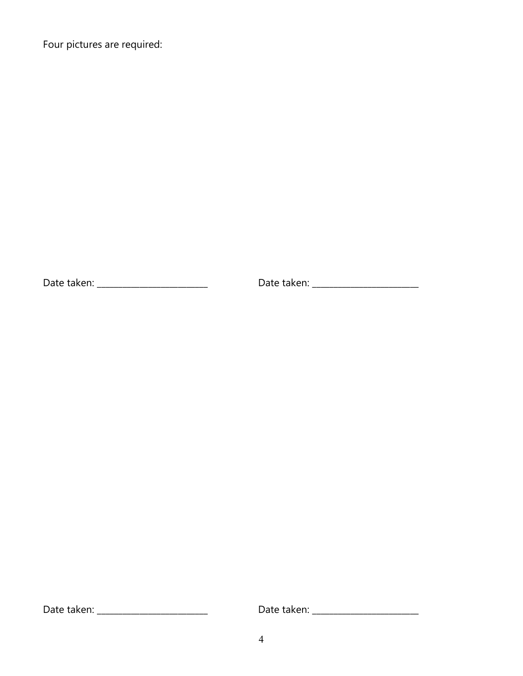Four pictures are required:

Date taken: \_\_\_\_\_\_\_\_\_\_\_\_\_\_\_\_\_\_\_\_\_\_\_\_\_\_ Date taken: \_\_\_\_\_\_\_\_\_\_\_\_\_\_\_\_\_\_\_\_\_\_\_\_\_

Date taken: \_\_\_\_\_\_\_\_\_\_\_\_\_\_\_\_\_\_\_\_\_\_\_\_\_\_ Date taken: \_\_\_\_\_\_\_\_\_\_\_\_\_\_\_\_\_\_\_\_\_\_\_\_\_